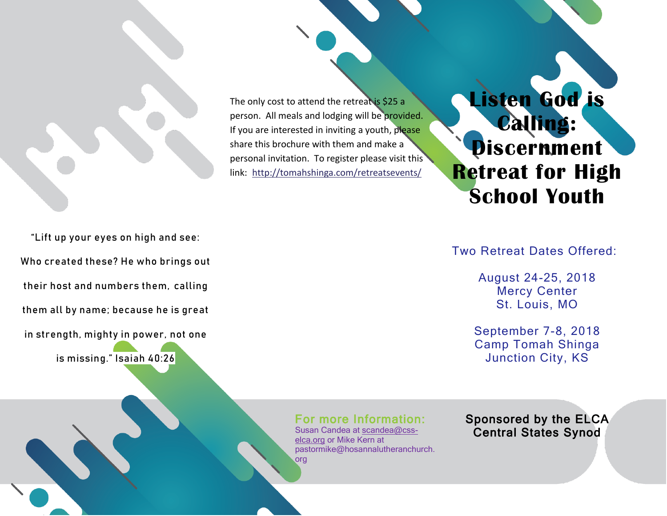

The only cost to attend the retreat is \$25 a person. All meals and lodging will be provided. If you are interested in inviting a youth, please share this brochure with them and make a personal invitation. To register please visit this link: <http://tomahshinga.com/retreatsevents/>

**Listen God is Calling: Discernment Retreat for High School Youth**

"Lift up your eyes on high and see: Who created these? He who brings out their host and numbers them, calling them all by name; because he is great in strength, mighty in power, not one

is missing." Isaiah 40:26

Two Retreat Dates Offered:

August 24-25, 2018 Mercy Center St. Louis, MO

September 7-8, 2018 Camp Tomah Shinga Junction City, KS

For more Information: Susan Candea at [scandea@css-](mailto:scandea@css-elca.org)

[elca.org](mailto:scandea@css-elca.org) or Mike Kern at pastormike@hosannalutheranchurch. org

Sponsored by the ELCA Central States Synod